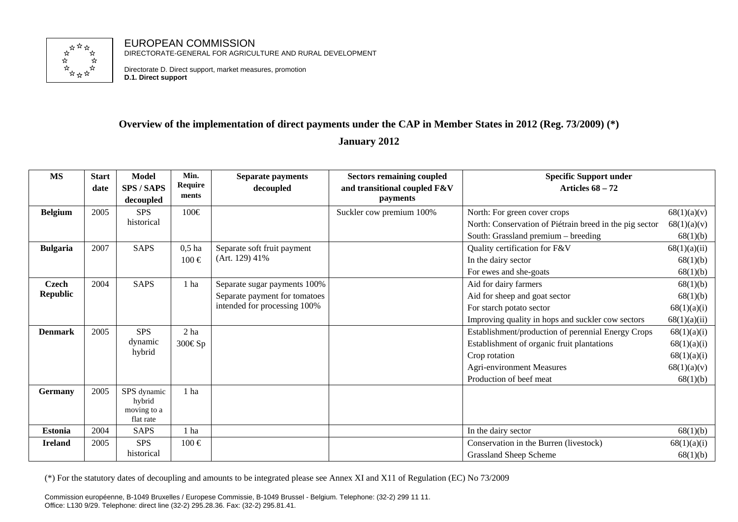

EUROPEAN COMMISSION DIRECTORATE-GENERAL FOR AGRICULTURE AND RURAL DEVELOPMENT

Directorate D. Direct support, market measures, promotion **D.1. Direct support**

## **Overview of the implementation of direct payments under the CAP in Member States in 2012 (Reg. 73/2009) (\*)**

**January 2012** 

| <b>MS</b>       | <b>Start</b> | <b>Model</b>             | Min.            | <b>Separate payments</b>      | <b>Sectors remaining coupled</b> | <b>Specific Support under</b>                           |              |
|-----------------|--------------|--------------------------|-----------------|-------------------------------|----------------------------------|---------------------------------------------------------|--------------|
|                 | date         | <b>SPS/SAPS</b>          | Require         | decoupled                     | and transitional coupled F&V     | Articles $68 - 72$                                      |              |
|                 |              | decoupled                | ments           |                               | <i>payments</i>                  |                                                         |              |
| <b>Belgium</b>  | 2005         | <b>SPS</b>               | 100€            |                               | Suckler cow premium 100%         | North: For green cover crops                            | 68(1)(a)(v)  |
|                 |              | historical               |                 |                               |                                  | North: Conservation of Piétrain breed in the pig sector | 68(1)(a)(v)  |
|                 |              |                          |                 |                               |                                  | South: Grassland premium - breeding                     | 68(1)(b)     |
| <b>Bulgaria</b> | 2007         | <b>SAPS</b>              | $0,5$ ha        | Separate soft fruit payment   |                                  | Quality certification for F&V                           | 68(1)(a)(ii) |
|                 |              |                          | $100 \in$       | (Art. 129) 41%                |                                  | In the dairy sector                                     | 68(1)(b)     |
|                 |              |                          |                 |                               |                                  | For ewes and she-goats                                  | 68(1)(b)     |
| Czech           | 2004         | <b>SAPS</b>              | 1 ha            | Separate sugar payments 100%  |                                  | Aid for dairy farmers                                   | 68(1)(b)     |
| Republic        |              |                          |                 | Separate payment for tomatoes |                                  | Aid for sheep and goat sector                           | 68(1)(b)     |
|                 |              |                          |                 | intended for processing 100%  |                                  | For starch potato sector                                | 68(1)(a)(i)  |
|                 |              |                          |                 |                               |                                  | Improving quality in hops and suckler cow sectors       | 68(1)(a)(ii) |
| <b>Denmark</b>  | 2005         | <b>SPS</b>               | 2 <sub>ha</sub> |                               |                                  | Establishment/production of perennial Energy Crops      | 68(1)(a)(i)  |
|                 |              | dynamic                  | 300€Sp          |                               |                                  | Establishment of organic fruit plantations              | 68(1)(a)(i)  |
|                 |              | hybrid                   |                 |                               |                                  | Crop rotation                                           | 68(1)(a)(i)  |
|                 |              |                          |                 |                               |                                  | <b>Agri-environment Measures</b>                        | 68(1)(a)(v)  |
|                 |              |                          |                 |                               |                                  | Production of beef meat                                 | 68(1)(b)     |
| Germany         | 2005         | SPS dynamic              | 1 <sub>ha</sub> |                               |                                  |                                                         |              |
|                 |              | hybrid                   |                 |                               |                                  |                                                         |              |
|                 |              | moving to a<br>flat rate |                 |                               |                                  |                                                         |              |
| <b>Estonia</b>  | 2004         | <b>SAPS</b>              | 1 ha            |                               |                                  | In the dairy sector                                     | 68(1)(b)     |
| <b>Ireland</b>  | 2005         | <b>SPS</b>               | $100 \in$       |                               |                                  | Conservation in the Burren (livestock)                  | 68(1)(a)(i)  |
|                 |              | historical               |                 |                               |                                  | <b>Grassland Sheep Scheme</b>                           | 68(1)(b)     |

(\*) For the statutory dates of decoupling and amounts to be integrated please see Annex XI and X11 of Regulation (EC) No 73/2009

Commission européenne, B-1049 Bruxelles / Europese Commissie, B-1049 Brussel - Belgium. Telephone: (32-2) 299 11 11. Office: L130 9/29. Telephone: direct line (32-2) 295.28.36. Fax: (32-2) 295.81.41.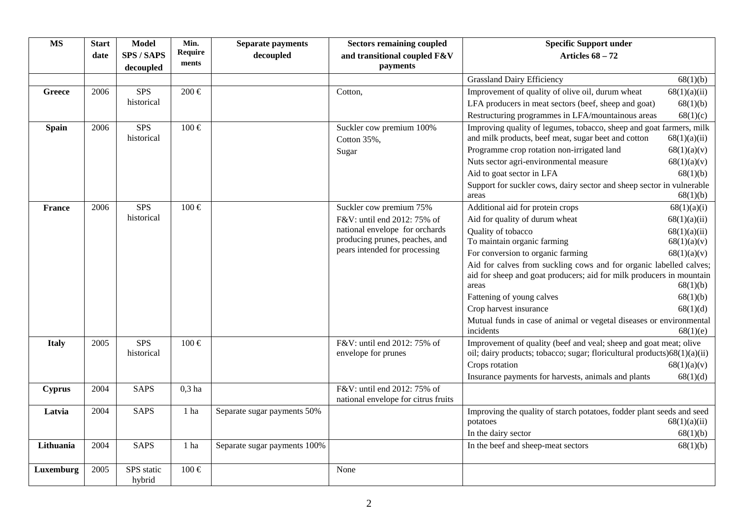| <b>MS</b>     | <b>Start</b> | <b>Model</b>         | Min.      | <b>Separate payments</b>     | <b>Sectors remaining coupled</b>                                 | <b>Specific Support under</b>                                                                                                              |
|---------------|--------------|----------------------|-----------|------------------------------|------------------------------------------------------------------|--------------------------------------------------------------------------------------------------------------------------------------------|
|               | date         | <b>SPS/SAPS</b>      | Require   | decoupled                    | and transitional coupled F&V                                     | <b>Articles 68 - 72</b>                                                                                                                    |
|               |              | decoupled            | ments     |                              | payments                                                         |                                                                                                                                            |
|               |              |                      |           |                              |                                                                  | <b>Grassland Dairy Efficiency</b><br>68(1)(b)                                                                                              |
| Greece        | 2006         | <b>SPS</b>           | $200 \in$ |                              | Cotton,                                                          | Improvement of quality of olive oil, durum wheat<br>68(1)(a)(ii)                                                                           |
|               |              | historical           |           |                              |                                                                  | LFA producers in meat sectors (beef, sheep and goat)<br>68(1)(b)                                                                           |
|               |              |                      |           |                              |                                                                  | Restructuring programmes in LFA/mountainous areas<br>68(1)(c)                                                                              |
| Spain         | 2006         | <b>SPS</b>           | $100 \in$ |                              | Suckler cow premium 100%                                         | Improving quality of legumes, tobacco, sheep and goat farmers, milk                                                                        |
|               |              | historical           |           |                              | Cotton 35%,                                                      | and milk products, beef meat, sugar beet and cotton<br>68(1)(a)(ii)                                                                        |
|               |              |                      |           |                              | Sugar                                                            | Programme crop rotation non-irrigated land<br>68(1)(a)(v)                                                                                  |
|               |              |                      |           |                              |                                                                  | Nuts sector agri-environmental measure<br>68(1)(a)(v)                                                                                      |
|               |              |                      |           |                              |                                                                  | Aid to goat sector in LFA<br>68(1)(b)                                                                                                      |
|               |              |                      |           |                              |                                                                  | Support for suckler cows, dairy sector and sheep sector in vulnerable                                                                      |
|               |              |                      |           |                              |                                                                  | 68(1)(b)<br>areas                                                                                                                          |
| <b>France</b> | 2006         | <b>SPS</b>           | $100\in$  |                              | Suckler cow premium 75%                                          | Additional aid for protein crops<br>68(1)(a)(i)                                                                                            |
|               |              | historical           |           |                              | F&V: until end 2012: 75% of                                      | Aid for quality of durum wheat<br>68(1)(a)(ii)                                                                                             |
|               |              |                      |           |                              | national envelope for orchards<br>producing prunes, peaches, and | Quality of tobacco<br>68(1)(a)(ii)                                                                                                         |
|               |              |                      |           |                              | pears intended for processing                                    | To maintain organic farming<br>68(1)(a)(v)                                                                                                 |
|               |              |                      |           |                              |                                                                  | For conversion to organic farming<br>68(1)(a)(v)                                                                                           |
|               |              |                      |           |                              |                                                                  | Aid for calves from suckling cows and for organic labelled calves;<br>aid for sheep and goat producers; aid for milk producers in mountain |
|               |              |                      |           |                              |                                                                  | 68(1)(b)<br>areas                                                                                                                          |
|               |              |                      |           |                              |                                                                  | 68(1)(b)<br>Fattening of young calves                                                                                                      |
|               |              |                      |           |                              |                                                                  | Crop harvest insurance<br>68(1)(d)                                                                                                         |
|               |              |                      |           |                              |                                                                  | Mutual funds in case of animal or vegetal diseases or environmental                                                                        |
|               |              |                      |           |                              |                                                                  | incidents<br>68(1)(e)                                                                                                                      |
| <b>Italy</b>  | 2005         | <b>SPS</b>           | $100 \in$ |                              | F&V: until end 2012: 75% of                                      | Improvement of quality (beef and veal; sheep and goat meat; olive                                                                          |
|               |              | historical           |           |                              | envelope for prunes                                              | oil; dairy products; tobacco; sugar; floricultural products)68(1)(a)(ii)                                                                   |
|               |              |                      |           |                              |                                                                  | Crops rotation<br>68(1)(a)(v)                                                                                                              |
|               |              |                      |           |                              |                                                                  | 68(1)(d)<br>Insurance payments for harvests, animals and plants                                                                            |
| <b>Cyprus</b> | 2004         | <b>SAPS</b>          | $0,3$ ha  |                              | F&V: until end 2012: 75% of                                      |                                                                                                                                            |
|               |              |                      |           |                              | national envelope for citrus fruits                              |                                                                                                                                            |
| Latvia        | 2004         | <b>SAPS</b>          | 1 ha      | Separate sugar payments 50%  |                                                                  | Improving the quality of starch potatoes, fodder plant seeds and seed                                                                      |
|               |              |                      |           |                              |                                                                  | 68(1)(a)(ii)<br>potatoes                                                                                                                   |
|               |              |                      |           |                              |                                                                  | In the dairy sector<br>68(1)(b)                                                                                                            |
| Lithuania     | 2004         | <b>SAPS</b>          | 1 ha      | Separate sugar payments 100% |                                                                  | In the beef and sheep-meat sectors<br>68(1)(b)                                                                                             |
|               |              |                      |           |                              |                                                                  |                                                                                                                                            |
| Luxemburg     | 2005         | SPS static<br>hybrid | $100 \in$ |                              | None                                                             |                                                                                                                                            |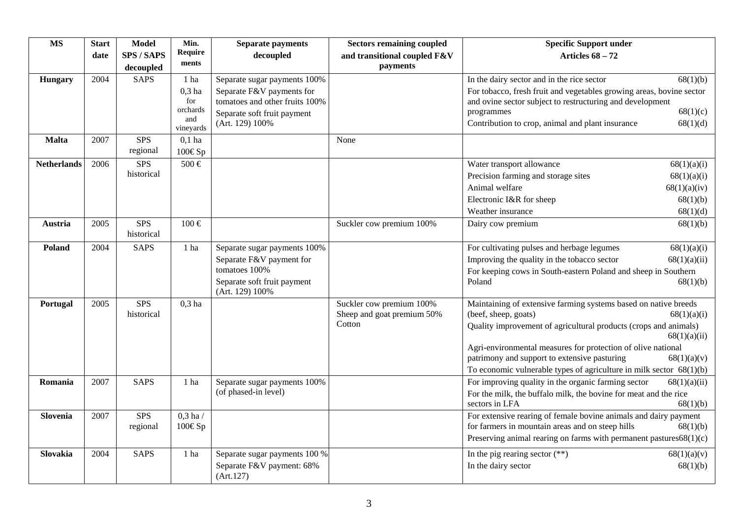| <b>MS</b>          | <b>Start</b> | <b>Model</b>             | Min.                   | <b>Separate payments</b>       | <b>Sectors remaining coupled</b> | <b>Specific Support under</b>                                                                                                    |
|--------------------|--------------|--------------------------|------------------------|--------------------------------|----------------------------------|----------------------------------------------------------------------------------------------------------------------------------|
|                    | date         | <b>SPS/SAPS</b>          | Require                | decoupled                      | and transitional coupled F&V     | <b>Articles 68 - 72</b>                                                                                                          |
|                    |              | decoupled                | ments                  |                                | payments                         |                                                                                                                                  |
| Hungary            | 2004         | <b>SAPS</b>              | 1 ha                   | Separate sugar payments 100%   |                                  | In the dairy sector and in the rice sector<br>68(1)(b)                                                                           |
|                    |              |                          | $0,3$ ha               | Separate F&V payments for      |                                  | For tobacco, fresh fruit and vegetables growing areas, bovine sector                                                             |
|                    |              |                          | for<br>orchards        | tomatoes and other fruits 100% |                                  | and ovine sector subject to restructuring and development                                                                        |
|                    |              |                          | and                    | Separate soft fruit payment    |                                  | 68(1)(c)<br>programmes                                                                                                           |
|                    |              |                          | vineyards              | (Art. 129) 100%                |                                  | Contribution to crop, animal and plant insurance<br>68(1)(d)                                                                     |
| <b>Malta</b>       | 2007         | <b>SPS</b>               | $0,1$ ha               |                                | None                             |                                                                                                                                  |
|                    |              | regional                 | 100€Sp                 |                                |                                  |                                                                                                                                  |
| <b>Netherlands</b> | 2006         | <b>SPS</b>               | 500€                   |                                |                                  | Water transport allowance<br>68(1)(a)(i)                                                                                         |
|                    |              | historical               |                        |                                |                                  | Precision farming and storage sites<br>68(1)(a)(i)                                                                               |
|                    |              |                          |                        |                                |                                  | Animal welfare<br>68(1)(a)(iv)                                                                                                   |
|                    |              |                          |                        |                                |                                  | Electronic I&R for sheep<br>68(1)(b)                                                                                             |
|                    |              |                          |                        |                                |                                  | Weather insurance<br>68(1)(d)                                                                                                    |
| Austria            | 2005         | <b>SPS</b><br>historical | $100 \in$              |                                | Suckler cow premium 100%         | Dairy cow premium<br>68(1)(b)                                                                                                    |
| Poland             | 2004         | <b>SAPS</b>              | 1 ha                   | Separate sugar payments 100%   |                                  | For cultivating pulses and herbage legumes<br>68(1)(a)(i)                                                                        |
|                    |              |                          |                        | Separate F&V payment for       |                                  | Improving the quality in the tobacco sector<br>68(1)(a)(ii)                                                                      |
|                    |              |                          |                        | tomatoes 100%                  |                                  | For keeping cows in South-eastern Poland and sheep in Southern                                                                   |
|                    |              |                          |                        | Separate soft fruit payment    |                                  | Poland<br>68(1)(b)                                                                                                               |
|                    |              |                          |                        | (Art. 129) 100%                |                                  |                                                                                                                                  |
| Portugal           | 2005         | <b>SPS</b>               | $0,3$ ha               |                                | Suckler cow premium 100%         | Maintaining of extensive farming systems based on native breeds                                                                  |
|                    |              | historical               |                        |                                | Sheep and goat premium 50%       | (beef, sheep, goats)<br>68(1)(a)(i)                                                                                              |
|                    |              |                          |                        |                                | Cotton                           | Quality improvement of agricultural products (crops and animals)<br>68(1)(a)(ii)                                                 |
|                    |              |                          |                        |                                |                                  | Agri-environmental measures for protection of olive national                                                                     |
|                    |              |                          |                        |                                |                                  | patrimony and support to extensive pasturing<br>68(1)(a)(v)                                                                      |
|                    |              |                          |                        |                                |                                  | To economic vulnerable types of agriculture in milk sector $68(1)(b)$                                                            |
| Romania            | 2007         | <b>SAPS</b>              | 1 ha                   | Separate sugar payments 100%   |                                  | For improving quality in the organic farming sector<br>68(1)(a)(ii)                                                              |
|                    |              |                          |                        | (of phased-in level)           |                                  | For the milk, the buffalo milk, the bovine for meat and the rice                                                                 |
|                    |              |                          |                        |                                |                                  | sectors in LFA<br>68(1)(b)                                                                                                       |
| Slovenia           | 2007         | <b>SPS</b><br>regional   | $0.3$ ha $/$<br>100€Sp |                                |                                  | For extensive rearing of female bovine animals and dairy payment<br>for farmers in mountain areas and on steep hills<br>68(1)(b) |
|                    |              |                          |                        |                                |                                  | Preserving animal rearing on farms with permanent pastures $68(1)(c)$                                                            |
| Slovakia           | 2004         | <b>SAPS</b>              | 1 ha                   | Separate sugar payments 100 %  |                                  | In the pig rearing sector $(**)$<br>68(1)(a)(v)                                                                                  |
|                    |              |                          |                        | Separate F&V payment: 68%      |                                  | In the dairy sector<br>68(1)(b)                                                                                                  |
|                    |              |                          |                        | (Art.127)                      |                                  |                                                                                                                                  |